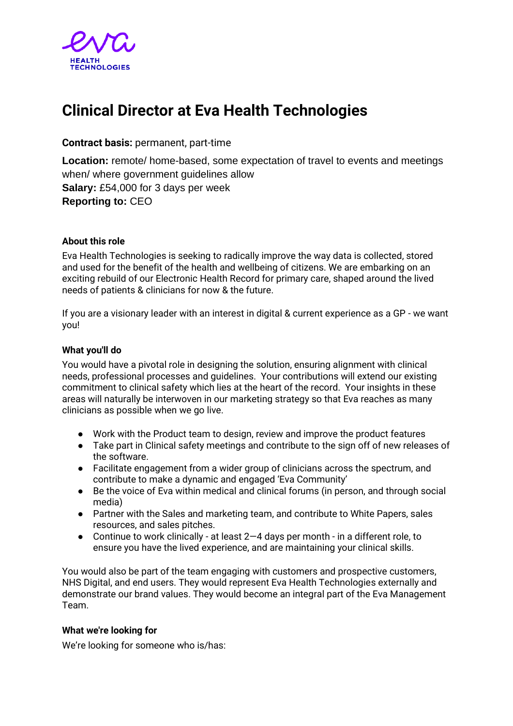

# **Clinical Director at Eva Health Technologies**

## **Contract basis:** permanent, part-time

**Location:** remote/ home-based, some expectation of travel to events and meetings when/ where government guidelines allow **Salary:** £54,000 for 3 days per week **Reporting to:** CEO

### **About this role**

Eva Health Technologies is seeking to radically improve the way data is collected, stored and used for the benefit of the health and wellbeing of citizens. We are embarking on an exciting rebuild of our Electronic Health Record for primary care, shaped around the lived needs of patients & clinicians for now & the future.

If you are a visionary leader with an interest in digital & current experience as a GP - we want you!

### **What you'll do**

You would have a pivotal role in designing the solution, ensuring alignment with clinical needs, professional processes and guidelines. Your contributions will extend our existing commitment to clinical safety which lies at the heart of the record. Your insights in these areas will naturally be interwoven in our marketing strategy so that Eva reaches as many clinicians as possible when we go live.

- Work with the Product team to design, review and improve the product features
- Take part in Clinical safety meetings and contribute to the sign off of new releases of the software.
- Facilitate engagement from a wider group of clinicians across the spectrum, and contribute to make a dynamic and engaged 'Eva Community'
- Be the voice of Eva within medical and clinical forums (in person, and through social media)
- Partner with the Sales and marketing team, and contribute to White Papers, sales resources, and sales pitches.
- $\bullet$  Continue to work clinically at least 2–4 days per month in a different role, to ensure you have the lived experience, and are maintaining your clinical skills.

You would also be part of the team engaging with customers and prospective customers, NHS Digital, and end users. They would represent Eva Health Technologies externally and demonstrate our brand values. They would become an integral part of the Eva Management Team.

## **What we're looking for**

We're looking for someone who is/has: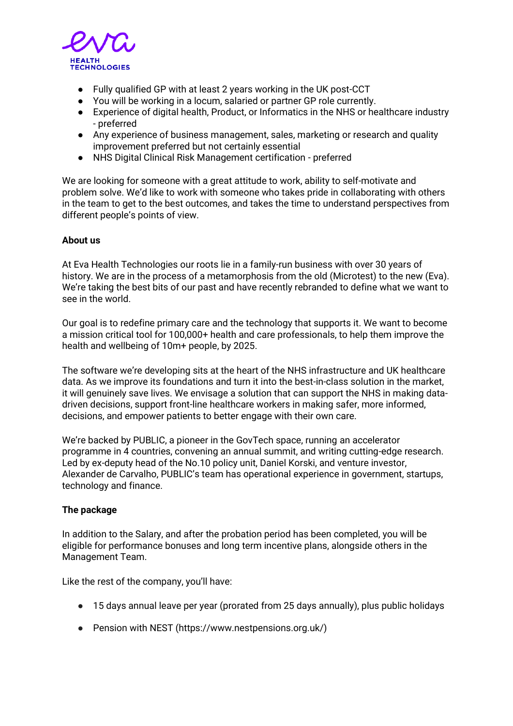

- Fully qualified GP with at least 2 years working in the UK post-CCT
- You will be working in a locum, salaried or partner GP role currently.
- Experience of digital health, Product, or Informatics in the NHS or healthcare industry - preferred
- Any experience of business management, sales, marketing or research and quality improvement preferred but not certainly essential
- NHS Digital Clinical Risk Management certification preferred

We are looking for someone with a great attitude to work, ability to self-motivate and problem solve. We'd like to work with someone who takes pride in collaborating with others in the team to get to the best outcomes, and takes the time to understand perspectives from different people's points of view.

### **About us**

At Eva Health Technologies our roots lie in a family-run business with over 30 years of history. We are in the process of a metamorphosis from the old (Microtest) to the new (Eva). We're taking the best bits of our past and have recently rebranded to define what we want to see in the world.

Our goal is to redefine primary care and the technology that supports it. We want to become a mission critical tool for 100,000+ health and care professionals, to help them improve the health and wellbeing of 10m+ people, by 2025.

The software we're developing sits at the heart of the NHS infrastructure and UK healthcare data. As we improve its foundations and turn it into the best-in-class solution in the market, it will genuinely save lives. We envisage a solution that can support the NHS in making datadriven decisions, support front-line healthcare workers in making safer, more informed, decisions, and empower patients to better engage with their own care.

We're backed by PUBLIC, a pioneer in the GovTech space, running an accelerator programme in 4 countries, convening an annual summit, and writing cutting-edge research. Led by ex-deputy head of the No.10 policy unit, Daniel Korski, and venture investor, Alexander de Carvalho, PUBLIC's team has operational experience in government, startups, technology and finance.

#### **The package**

In addition to the Salary, and after the probation period has been completed, you will be eligible for performance bonuses and long term incentive plans, alongside others in the Management Team.

Like the rest of the company, you'll have:

- 15 days annual leave per year (prorated from 25 days annually), plus public holidays
- Pension with NEST (https://www.nestpensions.org.uk/)